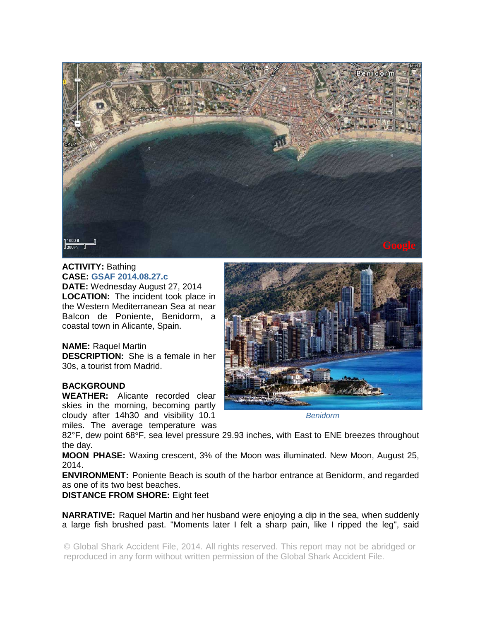

## **ACTIVITY:** Bathing **CASE: GSAF 2014.08.27.c**

**DATE:** Wednesday August 27, 2014 **LOCATION:** The incident took place in the Western Mediterranean Sea at near Balcon de Poniente, Benidorm, a coastal town in Alicante, Spain.

## **NAME:** Raquel Martin

**DESCRIPTION:** She is a female in her 30s, a tourist from Madrid.

## **BACKGROUND**

**WEATHER:** Alicante recorded clear skies in the morning, becoming partly cloudy after 14h30 and visibility 10.1 miles. The average temperature was



*Benidorm* 

82°F, dew point 68°F, sea level pressure 29.93 inches, with East to ENE breezes throughout the day.

**MOON PHASE:** Waxing crescent, 3% of the Moon was illuminated. New Moon, August 25, 2014.

**ENVIRONMENT:** Poniente Beach is south of the harbor entrance at Benidorm, and regarded as one of its two best beaches.

## **DISTANCE FROM SHORE:** Eight feet

**NARRATIVE:** Raquel Martin and her husband were enjoying a dip in the sea, when suddenly a large fish brushed past. "Moments later I felt a sharp pain, like I ripped the leg", said

© Global Shark Accident File, 2014. All rights reserved. This report may not be abridged or reproduced in any form without written permission of the Global Shark Accident File.